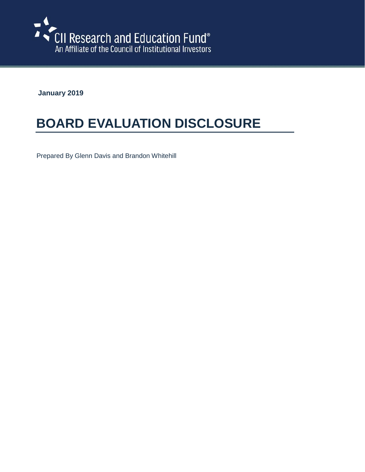

**January 2019**

## **BOARD EVALUATION DISCLOSURE**

Prepared By Glenn Davis and Brandon Whitehill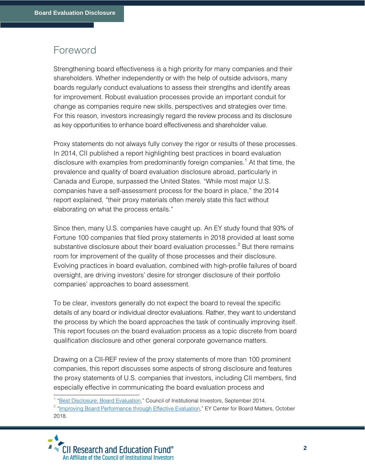## Foreword

Strengthening board effectiveness is a high priority for many companies and their shareholders. Whether independently or with the help of outside advisors, many boards regularly conduct evaluations to assess their strengths and identify areas for improvement. Robust evaluation processes provide an important conduit for change as companies require new skills, perspectives and strategies over time. For this reason, investors increasingly regard the review process and its disclosure as key opportunities to enhance board effectiveness and shareholder value.

Proxy statements do not always fully convey the rigor or results of these processes. In 2014, CII published a report highlighting best practices in board evaluation disclosure with examples from predominantly foreign companies.<sup>[1](#page-1-0)</sup> At that time, the prevalence and quality of board evaluation disclosure abroad, particularly in Canada and Europe, surpassed the United States. "While most major U.S. companies have a self-assessment process for the board in place," the 2014 report explained, "their proxy materials often merely state this fact without elaborating on what the process entails."

Since then, many U.S. companies have caught up. An EY study found that 93% of Fortune 100 companies that filed proxy statements in 2018 provided at least some substantive disclosure about their board evaluation processes.<sup>[2](#page-1-1)</sup> But there remains room for improvement of the quality of those processes and their disclosure. Evolving practices in board evaluation, combined with high-profile failures of board oversight, are driving investors' desire for stronger disclosure of their portfolio companies' approaches to board assessment.

To be clear, investors generally do not expect the board to reveal the specific details of any board or individual director evaluations. Rather, they want to understand the process by which the board approaches the task of continually improving itself. This report focuses on the board evaluation process as a topic discrete from board qualification disclosure and other general corporate governance matters.

Drawing on a CII-REF review of the proxy statements of more than 100 prominent companies, this report discusses some aspects of strong disclosure and features the proxy statements of U.S. companies that investors, including CII members, find especially effective in communicating the board evaluation process and

<span id="page-1-1"></span><span id="page-1-0"></span><sup>&</sup>lt;sup>1</sup> ["Best Disclosure: Board Evaluation,](https://www.cii.org/files/publications/governance_basics/08_18_14_Best_Disclosure_Board_Evaluation_FINAL.pdf)" Council of Institutional Investors, September 2014.<br><sup>2</sup> ["Improving Board Performance through Effective Evaluation,"](https://www.ey.com/Publication/vwLUAssets/ey-effective-evaluation-to-improve-board-performance/$FILE/ey-effective-evaluation-to-improve-board-performance.pdf) EY Center for Board Matters, October 2018.

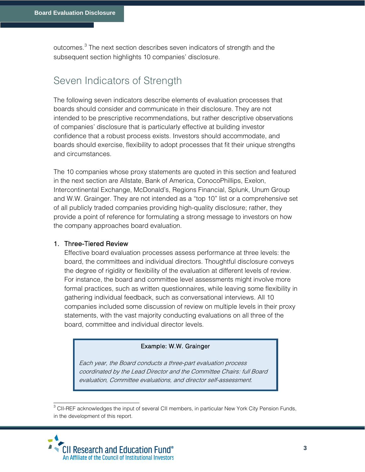outcomes.<sup>[3](#page-2-0)</sup> The next section describes seven indicators of strength and the subsequent section highlights 10 companies' disclosure.

## Seven Indicators of Strength

The following seven indicators describe elements of evaluation processes that boards should consider and communicate in their disclosure. They are not intended to be prescriptive recommendations, but rather descriptive observations of companies' disclosure that is particularly effective at building investor confidence that a robust process exists. Investors should accommodate, and boards should exercise, flexibility to adopt processes that fit their unique strengths and circumstances.

The 10 companies whose proxy statements are quoted in this section and featured in the next section are Allstate, Bank of America, ConocoPhillips, Exelon, Intercontinental Exchange, McDonald's, Regions Financial, Splunk, Unum Group and W.W. Grainger. They are not intended as a "top 10" list or a comprehensive set of all publicly traded companies providing high-quality disclosure; rather, they provide a point of reference for formulating a strong message to investors on how the company approaches board evaluation.

#### 1. Three-Tiered Review

Effective board evaluation processes assess performance at three levels: the board, the committees and individual directors. Thoughtful disclosure conveys the degree of rigidity or flexibility of the evaluation at different levels of review. For instance, the board and committee level assessments might involve more formal practices, such as written questionnaires, while leaving some flexibility in gathering individual feedback, such as conversational interviews. All 10 companies included some discussion of review on multiple levels in their proxy statements, with the vast majority conducting evaluations on all three of the board, committee and individual director levels.

#### Example: W.W. Grainger

Each year, the Board conducts a three-part evaluation process coordinated by the Lead Director and the Committee Chairs: full Board evaluation, Committee evaluations, and director self-assessment.

<sup>3</sup> CII-REF acknowledges the input of several CII members, in particular New York City Pension Funds, in the development of this report.

<span id="page-2-0"></span>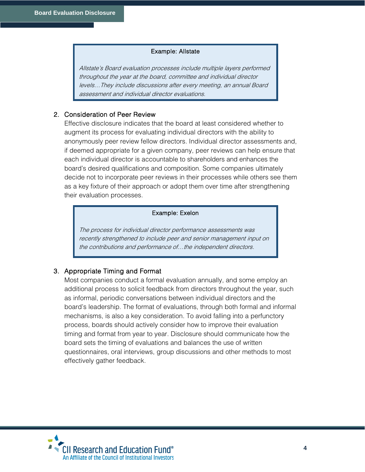#### Example: Allstate

Allstate's Board evaluation processes include multiple layers performed throughout the year at the board, committee and individual director levels…They include discussions after every meeting, an annual Board assessment and individual director evaluations.

#### 2. Consideration of Peer Review

Effective disclosure indicates that the board at least considered whether to augment its process for evaluating individual directors with the ability to anonymously peer review fellow directors. Individual director assessments and, if deemed appropriate for a given company, peer reviews can help ensure that each individual director is accountable to shareholders and enhances the board's desired qualifications and composition. Some companies ultimately decide not to incorporate peer reviews in their processes while others see them as a key fixture of their approach or adopt them over time after strengthening their evaluation processes.

#### Example: Exelon

The process for individual director performance assessments was recently strengthened to include peer and senior management input on the contributions and performance of…the independent directors.

#### 3. Appropriate Timing and Format

Most companies conduct a formal evaluation annually, and some employ an additional process to solicit feedback from directors throughout the year, such as informal, periodic conversations between individual directors and the board's leadership. The format of evaluations, through both formal and informal mechanisms, is also a key consideration. To avoid falling into a perfunctory process, boards should actively consider how to improve their evaluation timing and format from year to year. Disclosure should communicate how the board sets the timing of evaluations and balances the use of written questionnaires, oral interviews, group discussions and other methods to most effectively gather feedback.

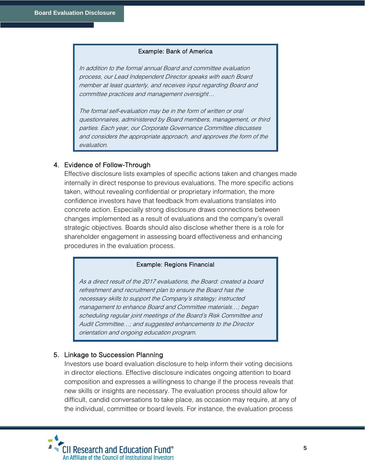#### Example: Bank of America

In addition to the formal annual Board and committee evaluation process, our Lead Independent Director speaks with each Board member at least quarterly, and receives input regarding Board and committee practices and management oversight…

The formal self-evaluation may be in the form of written or oral questionnaires, administered by Board members, management, or third parties. Each year, our Corporate Governance Committee discusses and considers the appropriate approach, and approves the form of the evaluation.

#### 4. Evidence of Follow-Through

Effective disclosure lists examples of specific actions taken and changes made internally in direct response to previous evaluations. The more specific actions taken, without revealing confidential or proprietary information, the more confidence investors have that feedback from evaluations translates into concrete action. Especially strong disclosure draws connections between changes implemented as a result of evaluations and the company's overall strategic objectives. Boards should also disclose whether there is a role for shareholder engagement in assessing board effectiveness and enhancing procedures in the evaluation process.

#### Example: Regions Financial

As a direct result of the 2017 evaluations, the Board: created a board refreshment and recruitment plan to ensure the Board has the necessary skills to support the Company's strategy; instructed management to enhance Board and Committee materials…; began scheduling regular joint meetings of the Board's Risk Committee and Audit Committee…; and suggested enhancements to the Director orientation and ongoing education program.

#### 5. Linkage to Succession Planning

Investors use board evaluation disclosure to help inform their voting decisions in director elections. Effective disclosure indicates ongoing attention to board composition and expresses a willingness to change if the process reveals that new skills or insights are necessary. The evaluation process should allow for difficult, candid conversations to take place, as occasion may require, at any of the individual, committee or board levels. For instance, the evaluation process

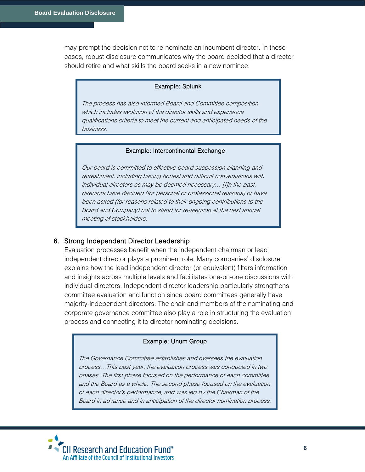may prompt the decision not to re-nominate an incumbent director. In these cases, robust disclosure communicates why the board decided that a director should retire and what skills the board seeks in a new nominee.

#### Example: Splunk

The process has also informed Board and Committee composition, which includes evolution of the director skills and experience qualifications criteria to meet the current and anticipated needs of the business.

#### Example: Intercontinental Exchange

Our board is committed to effective board succession planning and refreshment, including having honest and difficult conversations with individual directors as may be deemed necessary… [I]n the past, directors have decided (for personal or professional reasons) or have been asked (for reasons related to their ongoing contributions to the Board and Company) not to stand for re-election at the next annual meeting of stockholders.

#### 6. Strong Independent Director Leadership

Evaluation processes benefit when the independent chairman or lead independent director plays a prominent role. Many companies' disclosure explains how the lead independent director (or equivalent) filters information and insights across multiple levels and facilitates one-on-one discussions with individual directors. Independent director leadership particularly strengthens committee evaluation and function since board committees generally have majority-independent directors. The chair and members of the nominating and corporate governance committee also play a role in structuring the evaluation process and connecting it to director nominating decisions.

#### Example: Unum Group

The Governance Committee establishes and oversees the evaluation process…This past year, the evaluation process was conducted in two phases. The first phase focused on the performance of each committee and the Board as a whole. The second phase focused on the evaluation of each director's performance, and was led by the Chairman of the Board in advance and in anticipation of the director nomination process.

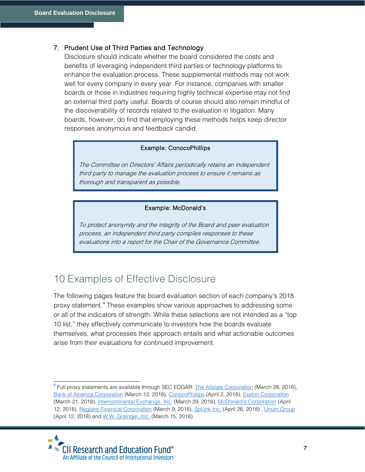#### 7. Prudent Use of Third Parties and Technology

Disclosure should indicate whether the board considered the costs and benefits of leveraging independent third parties or technology platforms to enhance the evaluation process. These supplemental methods may not work well for every company in every year. For instance, companies with smaller boards or those in industries requiring highly technical expertise may not find an external third party useful. Boards of course should also remain mindful of the discoverability of records related to the evaluation in litigation. Many boards, however, do find that employing these methods helps keep director responses anonymous and feedback candid.

#### Example: ConocoPhillips

The Committee on Directors' Affairs periodically retains an independent third party to manage the evaluation process to ensure it remains as thorough and transparent as possible.

#### Example: McDonald's

To protect anonymity and the integrity of the Board and peer evaluation process, an independent third party compiles responses to these evaluations into a report for the Chair of the Governance Committee.

## 10 Examples of Effective Disclosure

The following pages feature the board evaluation section of each company's 2018 proxy statement.<sup>[4](#page-6-0)</sup> These examples show various approaches to addressing some or all of the indicators of strength. While these selections are not intended as a "top 10 list," they effectively communicate to investors how the boards evaluate themselves, what processes their approach entails and what actionable outcomes arise from their evaluations for continued improvement.

<span id="page-6-0"></span><sup>&</sup>lt;sup>4</sup> Full proxy statements are available through SEC EDGAR: **The Allstate Corporation** (March 28, 2018), [Bank of America Corporation](https://www.sec.gov/Archives/edgar/data/70858/000119312518078695/d501004ddef14a.htm) (March 12, 2018), [ConocoPhillips](https://www.sec.gov/Archives/edgar/data/1163165/000120677418001045/conoco3364391-def14a.htm) (April 2, 2018)[, Exelon Corporation](https://www.sec.gov/Archives/edgar/data/1109357/000120677418000893/exelon3284421-def14a.htm) (March 21, 2018), [Intercontinental Exchange, Inc.](https://www.sec.gov/Archives/edgar/data/1571949/000119312518100657/d445856ddef14a.htm) (March 29, 2018)[, McDonald's Corporation](https://www.sec.gov/Archives/edgar/data/63908/000120677418001176/mcd3291681-def14a.htm) (April 12, 2018), [Regions Financial Corporation](https://www.sec.gov/Archives/edgar/data/1281761/000128176118000022/a2018regionsfinancialcorpo.htm) (March 9, 2018), [Splunk Inc.](https://www.sec.gov/Archives/edgar/data/1353283/000120677418001389/splk3251731-def14a.htm) (April 26, 2018) , [Unum Group](https://www.sec.gov/Archives/edgar/data/5513/000000551318000042/def14a2018proxy.htm) (April 12, 2018) an[d W.W. Grainger, Inc.](https://www.sec.gov/Archives/edgar/data/277135/000104746918001653/a2234554zdef14a.htm) (March 15, 2018).

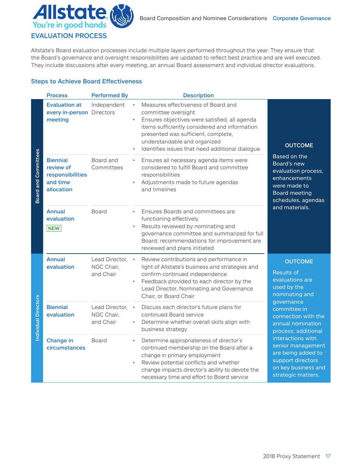

#### EVALUATION PROCESS

Allstate's Board evaluation processes include multiple layers performed throughout the year. They ensure that the Board's governance and oversight responsibilities are updated to reflect best practice and are well executed. They include discussions after every meeting, an annual Board assessment and individual director evaluations.

#### Steps to Achieve Board Effectiveness

|                             | <b>Process</b>                                                             | <b>Performed By</b>                       | <b>Description</b>                                                                                                                                                                                                                                                                        |                                                                                                                                                                                                                                                                                                                            |
|-----------------------------|----------------------------------------------------------------------------|-------------------------------------------|-------------------------------------------------------------------------------------------------------------------------------------------------------------------------------------------------------------------------------------------------------------------------------------------|----------------------------------------------------------------------------------------------------------------------------------------------------------------------------------------------------------------------------------------------------------------------------------------------------------------------------|
| <b>Board and Committees</b> | <b>Evaluation at</b><br>every in-person Directors<br>meeting               | Independent                               | Measures effectiveness of Board and<br>committee oversight<br>Ensures objectives were satisfied, all agenda<br>items sufficiently considered and information<br>presented was sufficient, complete,<br>understandable and organized<br>Identifies issues that need additional dialogue    | <b>OUTCOME</b><br>Based on the<br>Board's new<br>evaluation process,<br>enhancements<br>were made to<br><b>Board meeting</b><br>schedules, agendas<br>and materials.                                                                                                                                                       |
|                             | <b>Biennial</b><br>review of<br>responsibilities<br>and time<br>allocation | Board and<br>Committees                   | Ensures all necessary agenda items were<br>$\bullet$<br>considered to fulfill Board and committee<br>responsibilities<br>Adjustments made to future agendas<br>and timelines                                                                                                              |                                                                                                                                                                                                                                                                                                                            |
|                             | <b>Annual</b><br>evaluation<br><b>NEW</b>                                  | Board                                     | Ensures Boards and committees are<br>$\bullet$<br>functioning effectively<br>Results reviewed by nominating and<br>$\bullet$<br>governance committee and summarized for full<br>Board; recommendations for improvement are<br>reviewed and plans initiated                                |                                                                                                                                                                                                                                                                                                                            |
| Individual Directors        | <b>Annual</b><br>evaluation                                                | Lead Director,<br>NGC Chair,<br>and Chair | Review contributions and performance in<br>light of Allstate's business and strategies and<br>confirm continued independence<br>Feedback provided to each director by the<br>Lead Director, Nominating and Governance<br>Chair, or Board Chair                                            | <b>OUTCOME</b><br><b>Results of</b><br>evaluations are<br>used by the<br>nominating and<br>governance<br>committee in<br>connection with the<br>annual nomination<br>process; additional<br>interactions with<br>senior management<br>are being added to<br>support directors<br>on key business and<br>strategic matters. |
|                             | <b>Biennial</b><br>evaluation                                              | Lead Director,<br>NGC Chair,<br>and Chair | Discuss each director's future plans for<br>$\bullet$<br>continued Board service<br>Determine whether overall skills align with<br>business strategy                                                                                                                                      |                                                                                                                                                                                                                                                                                                                            |
|                             | <b>Change in</b><br>circumstances                                          | <b>Board</b>                              | Determine appropriateness of director's<br>$\bullet$<br>continued membership on the Board after a<br>change in primary employment<br>Review potential conflicts and whether<br>$\bullet$<br>change impacts director's ability to devote the<br>necessary time and effort to Board service |                                                                                                                                                                                                                                                                                                                            |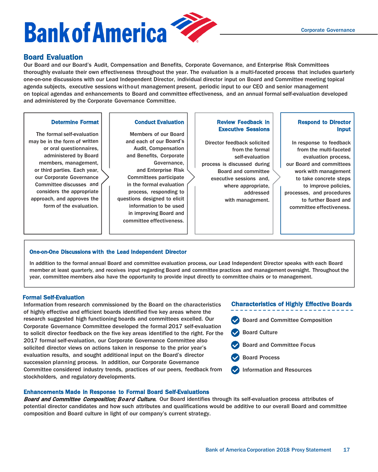

Board Evaluation<br>Our Board and our Board's Audit, Compensation and Benefits, Corporate Governance, and Enterprise Risk Committees thoroughly evaluate their own effectiveness throughout the year. The evaluation is a multi-faceted process that includes quarterly one-on-one discussions with our Lead Independent Director, individual director input on Board and Committee meeting topical agenda subjects, executive sessions without management present, periodic input to our CEO and senior management on topical agendas and enhancements to Board and committee effectiveness, and an annual formal self-evaluation developed and administered by the Corporate Governance Committee.

#### Determine Format

The formal self-evaluation may be in the form of written or oral questionnaires, administered by Board members, management, or third parties. Each year, our Corporate Governance Committee discusses and considers the appropriate approach, and approves the form of the evaluation.

Conduct Evaluation

Members of our Board and each of our Board's Audit, Compensation and Benefits, Corporate Governance, and Enterprise Risk Committees participate in the formal evaluation process, responding to questions designed to elicit information to be used in improving Board and committee effectiveness.

#### Review Feedback in Executive Sessions

Director feedback solicited from the formal self-evaluation process is discussed during Board and committee executive sessions and, where appropriate, addressed with management.

#### Respond to Director Input

In response to feedback from the multi-faceted evaluation process, our Board and committees work with management to take concrete steps to improve policies, processes, and procedures to further Board and committee effectiveness.

#### One-on-One Discussions with the Lead Independent Director

In addition to the formal annual Board and committee evaluation process, our Lead Independent Director speaks with each Board member at least quarterly, and receives input regarding Board and committee practices and management oversight. Throughout the year, committee members also have the opportunity to provide input directly to committee chairs or to management.

#### Formal Self-Evaluation

Information from research commissioned by the Board on the characteristics of highly effective and efficient boards identified five key areas where the research suggested high functioning boards and committees excelled. Our Corporate Governance Committee developed the formal 2017 self-evaluation to solicit director feedback on the five key areas identified to the right. For the 2017 formal self-evaluation, our Corporate Governance Committee also solicited director views on actions taken in response to the prior year's evaluation results, and sought additional input on the Board's director succession planning process. In addition, our Corporate Governance Committee considered industry trends, practices of our peers, feedback from stockholders, and regulatory developments.

#### Characteristics of Highly Effective Boards

- Board and Committee Composition
- Board Culture
- Board and Committee Focus
- Board Process
- Information and Resources

#### Enhancements Made in Response to Formal Board Self-Evaluations

Board and Committee Composition; Board Culture. Our Board identifies through its self-evaluation process attributes of potential director candidates and how such attributes and qualifications would be additive to our overall Board and committee composition and Board culture in light of our company's current strategy.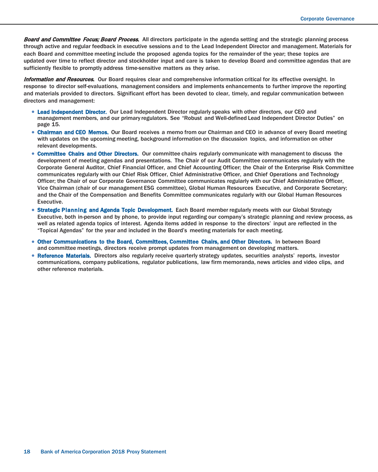Board and Committee Focus; Board Process. All directors participate in the agenda setting and the strategic planning process through active and regular feedback in executive sessions and to the Lead Independent Director and management. Materials for each Board and committee meeting include the proposed agenda topics for the remainder of the year; these topics are updated over time to reflect director and stockholder input and care is taken to develop Board and committee agendas that are sufficiently flexible to promptly address time-sensitive matters as they arise.

Information and Resources. Our Board requires clear and comprehensive information critical for its effective oversight. In response to director self-evaluations, management considers and implements enhancements to further improve the reporting and materials provided to directors. Significant effort has been devoted to clear, timely, and regular communication between directors and management:

- Lead Independent Director. Our Lead Independent Director regularly speaks with other directors, our CEO and management members, and our primary regulators. See "Robust and Well-defined Lead Independent Director Duties" on page 15.
- Chairman and CEO Memos. Our Board receives a memo from our Chairman and CEO in advance of every Board meeting with updates on the upcoming meeting, background information on the discussion topics, and information on other relevant developments.
- Committee Chairs and Other Directors. Our committee chairs regularly communicate with management to discuss the development of meeting agendas and presentations. The Chair of our Audit Committee communicates regularly with the Corporate General Auditor, Chief Financial Officer, and Chief Accounting Officer; the Chair of the Enterprise Risk Committee communicates regularly with our Chief Risk Officer, Chief Administrative Officer, and Chief Operations and Technology Officer; the Chair of our Corporate Governance Committee communicates regularly with our Chief Administrative Officer, Vice Chairman (chair of our management ESG committee), Global Human Resources Executive, and Corporate Secretary; and the Chair of the Compensation and Benefits Committee communicates regularly with our Global Human Resources Executive.
- Strategic Planning and Agenda Topic Development. Each Board member regularly meets with our Global Strategy Executive, both in-person and by phone, to provide input regarding our company's strategic planning and review process, as well as related agenda topics of interest. Agenda items added in response to the directors' input are reflected in the "Topical Agendas" for the year and included in the Board's meeting materials for each meeting.
- Other Communications to the Board, Committees, Committee Chairs, and Other Directors. In between Board and committee meetings, directors receive prompt updates from management on developing matters.
- Reference Materials. Directors also regularly receive quarterly strategy updates, securities analysts' reports, investor communications, company publications, regulator publications, law firm memoranda, news articles and video clips, and other reference materials.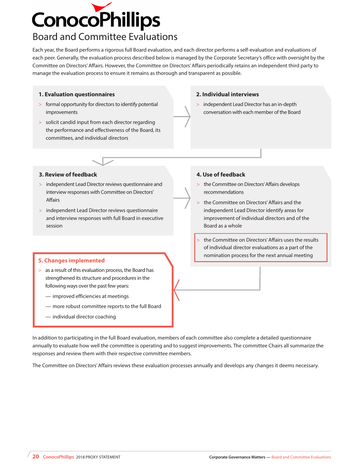

## Board and Committee Evaluations

Each year, the Board performs a rigorous full Board evaluation, and each director performs a self-evaluation and evaluations of each peer. Generally, the evaluation process described below is managed by the Corporate Secretary's office with oversight by the Committee on Directors' Affairs. However, the Committee on Directors' Affairs periodically retains an independent third party to manage the evaluation process to ensure it remains as thorough and transparent as possible.

#### **1. Evaluation questionnaires**

- > formal opportunity for directors to identify potential improvements
- > solicit candid input from each director regarding the performance and effectiveness of the Board, its committees, and individual directors

#### **2. Individual interviews**

> independent Lead Director has an in-depth conversation with each member of the Board

#### **3. Review of feedback**

- > independent Lead Director reviews questionnaire and interview responses with Committee on Directors' Affairs
- > independent Lead Director reviews questionnaire and interview responses with full Board in executive session

- > as a result of this evaluation process, the Board has strengthened its structure and procedures in the following ways over the past few years:
	- improved efficiencies at meetings
	- more robust committee reports to the full Board
	- individual director coaching

#### **4. Use of feedback**

- > the Committee on Directors' Affairs develops recommendations
- the Committee on Directors' Affairs and the independent Lead Director identify areas for improvement of individual directors and of the Board as a whole
- the Committee on Directors' Affairs uses the results of individual director evaluations as a part of the **nomination process for the next annual meeting 1.1 Changes implemented**

In addition to participating in the full Board evaluation, members of each committee also complete a detailed questionnaire annually to evaluate how well the committee is operating and to suggest improvements. The committee Chairs all summarize the responses and review them with their respective committee members.

The Committee on Directors' Affairs reviews these evaluation processes annually and develops any changes it deems necessary.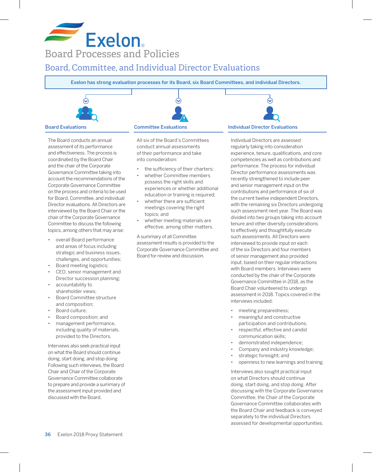## **Exelon** Board Processes and Policies

## Board, Committee, and Individual Director Evaluations

Exelon has strong evaluation processes for its Board, six Board Committees, and individual Directors.



The Board conducts an annual assessment of its performance and effectiveness. The process is coordinated by the Board Chair and the chair of the Corporate Governance Committee taking into account the recommendations of the Corporate Governance Committee on the process and criteria to be used for Board, Committee, and individual Director evaluations. All Directors are interviewed by the Board Chair or the chair of the Corporate Governance Committee to discuss the following topics, among others that may arise:

- overall Board performance and areas of focus including strategic and business issues, challenges, and opportunities;
- Board meeting logistics;
- CEO, senior management and Director succession planning;
- accountability to shareholder views;
- Board Committee structure and composition;
- Board culture;
- Board composition; and
- management performance, including quality of materials, provided to the Directors.

Interviews also seek practical input on what the Board should continue doing, start doing, and stop doing. Following such interviews, the Board Chair and Chair of the Corporate Governance Committee collaborate to prepare and provide a summary of the assessment input provided and discussed with the Board.

All six of the Board's Committees conduct annual assessments of their performance and take into consideration:

- the sufficiency of their charters;
- whether Committee members possess the right skills and experiences or whether additional education or training is required;
- whether there are sufficient meetings covering the right topics; and
- whether meeting materials are effective, among other matters.

A summary of all Committee assessment results is provided to the Corporate Governance Committee and Board for review and discussion.

Individual Directors are assessed regularly taking into consideration experience, tenure, qualifications, and core competencies as well as contributions and performance. The process for individual Director performance assessments was recently strengthened to include peer and senior management input on the contributions and performance of six of the current twelve independent Directors, with the remaining six Directors undergoing such assessment next year. The Board was divided into two groups taking into account tenure and other diversity considerations to effectively and thoughtfully execute such assessments. All Directors were interviewed to provide input on each of the six Directors and four members of senior management also provided input, based on their regular interactions with Board members. Interviews were conducted by the chair of the Corporate Governance Committee in 2018, as the Board Chair volunteered to undergo assessment in 2018. Topics covered in the interviews included:

- meeting preparedness;
- meaningful and constructive participation and contributions;
- respectful, effective and candid communication skills;
- demonstrated independence;
- Company and industry knowledge;
- strategic foresight; and
- openness to new learnings and training.

Interviews also sought practical input on what Directors should continue doing, start doing, and stop doing. After discussing with the Corporate Governance Committee, the Chair of the Corporate Governance Committee collaborates with the Board Chair and feedback is conveyed separately to the individual Directors assessed for developmental opportunities.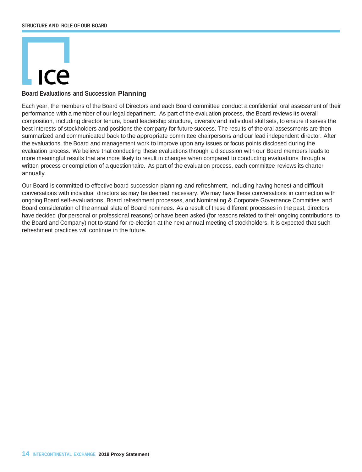# $IC<sub>P</sub>$

#### **Board Evaluations and Succession Planning**

Each year, the members of the Board of Directors and each Board committee conduct a confidential oral assessment of their performance with a member of our legal department. As part of the evaluation process, the Board reviews its overall composition, including director tenure, board leadership structure, diversity and individual skill sets, to ensure it serves the best interests of stockholders and positions the company for future success. The results of the oral assessments are then summarized and communicated back to the appropriate committee chairpersons and our lead independent director. After the evaluations, the Board and management work to improve upon any issues or focus points disclosed during the evaluation process. We believe that conducting these evaluations through a discussion with our Board members leads to more meaningful results that are more likely to result in changes when compared to conducting evaluations through a written process or completion of a questionnaire. As part of the evaluation process, each committee reviews its charter annually.

Our Board is committed to effective board succession planning and refreshment, including having honest and difficult conversations with individual directors as may be deemed necessary. We may have these conversations in connection with ongoing Board self-evaluations, Board refreshment processes, and Nominating & Corporate Governance Committee and Board consideration of the annual slate of Board nominees. As a result of these different processes in the past, directors have decided (for personal or professional reasons) or have been asked (for reasons related to their ongoing contributions to the Board and Company) not to stand for re-election at the next annual meeting of stockholders. It is expected that such refreshment practices will continue in the future.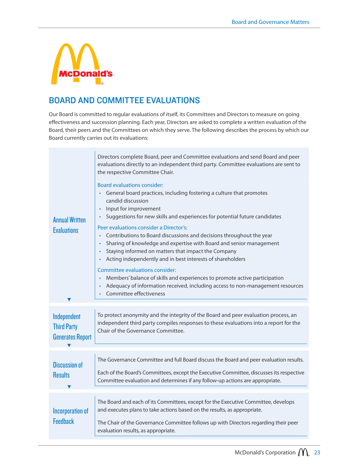

## BOARD AND COMMITTEE EVALUATIONS

Our Board is committed to regular evaluations of itself, its Committees and Directors to measure on going effectiveness and succession planning. Each year, Directors are asked to complete a written evaluation of the Board, their peers and the Committees on which they serve. The following describes the process by which our Board currently carries out its evaluations:

|                                                              | Directors complete Board, peer and Committee evaluations and send Board and peer<br>evaluations directly to an independent third party. Committee evaluations are sent to<br>the respective Committee Chair.                                                                                                                                       |  |  |  |  |  |
|--------------------------------------------------------------|----------------------------------------------------------------------------------------------------------------------------------------------------------------------------------------------------------------------------------------------------------------------------------------------------------------------------------------------------|--|--|--|--|--|
| <b>Annual Written</b>                                        | <b>Board evaluations consider:</b><br>• General board practices, including fostering a culture that promotes<br>candid discussion<br>Input for improvement<br>$\bullet$<br>Suggestions for new skills and experiences for potential future candidates<br>$\bullet$                                                                                 |  |  |  |  |  |
| <b>Evaluations</b>                                           | Peer evaluations consider a Director's:<br>Contributions to Board discussions and decisions throughout the year<br>Sharing of knowledge and expertise with Board and senior management<br>$\bullet$<br>Staying informed on matters that impact the Company<br>$\bullet$<br>Acting independently and in best interests of shareholders<br>$\bullet$ |  |  |  |  |  |
|                                                              | Committee evaluations consider:<br>Members' balance of skills and experiences to promote active participation<br>Adequacy of information received, including access to non-management resources<br>$\bullet$<br>Committee effectiveness<br>$\bullet$                                                                                               |  |  |  |  |  |
|                                                              |                                                                                                                                                                                                                                                                                                                                                    |  |  |  |  |  |
| Independent<br><b>Third Party</b><br><b>Generates Report</b> | To protect anonymity and the integrity of the Board and peer evaluation process, an<br>independent third party compiles responses to these evaluations into a report for the<br>Chair of the Governance Committee.                                                                                                                                 |  |  |  |  |  |
|                                                              |                                                                                                                                                                                                                                                                                                                                                    |  |  |  |  |  |
| <b>Discussion of</b>                                         | The Governance Committee and full Board discuss the Board and peer evaluation results.                                                                                                                                                                                                                                                             |  |  |  |  |  |
| <b>Results</b>                                               | Each of the Board's Committees, except the Executive Committee, discusses its respective<br>Committee evaluation and determines if any follow-up actions are appropriate.                                                                                                                                                                          |  |  |  |  |  |
|                                                              |                                                                                                                                                                                                                                                                                                                                                    |  |  |  |  |  |
| <b>Incorporation of</b>                                      | The Board and each of its Committees, except for the Executive Committee, develops<br>and executes plans to take actions based on the results, as appropriate.                                                                                                                                                                                     |  |  |  |  |  |
| <b>Feedback</b>                                              | The Chair of the Governance Committee follows up with Directors regarding their peer<br>evaluation results, as appropriate.                                                                                                                                                                                                                        |  |  |  |  |  |
|                                                              |                                                                                                                                                                                                                                                                                                                                                    |  |  |  |  |  |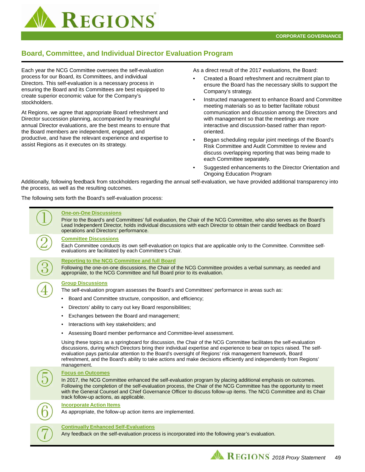

### **Board, Committee, and Individual Director Evaluation Program**

Each year the NCG Committee oversees the self-evaluation process for our Board, its Committees, and individual Directors. This self-evaluation is a necessary process in ensuring the Board and its Committees are best equipped to create superior economic value for the Company's stockholders.

At Regions, we agree that appropriate Board refreshment and Director succession planning, accompanied by meaningful annual Director evaluations, are the best means to ensure that the Board members are independent, engaged, and productive, and have the relevant experience and expertise to assist Regions as it executes on its strategy.

As a direct result of the 2017 evaluations, the Board:

- Created a Board refreshment and recruitment plan to ensure the Board has the necessary skills to support the Company's strategy.
- Instructed management to enhance Board and Committee meeting materials so as to better facilitate robust communication and discussion among the Directors and with management so that the meetings are more interactive and discussion-based rather than reportoriented.
- Began scheduling regular joint meetings of the Board's Risk Committee and Audit Committee to review and discuss overlapping reporting that was being made to each Committee separately.
- Suggested enhancements to the Director Orientation and Ongoing Education Program

Additionally, following feedback from stockholders regarding the annual self-evaluation, we have provided additional transparency into the process, as well as the resulting outcomes.

The following sets forth the Board's self-evaluation process:

 $\mathbf{I}$ 

|  | <b>One-on-One Discussions</b><br>Prior to the Board's and Committees' full evaluation, the Chair of the NCG Committee, who also serves as the Board's<br>Lead Independent Director, holds individual discussions with each Director to obtain their candid feedback on Board<br>operations and Directors' performance.                                                                                                                                                                                                                                                                                                                                                                                                                                                                                                                                                                                                                               |
|--|------------------------------------------------------------------------------------------------------------------------------------------------------------------------------------------------------------------------------------------------------------------------------------------------------------------------------------------------------------------------------------------------------------------------------------------------------------------------------------------------------------------------------------------------------------------------------------------------------------------------------------------------------------------------------------------------------------------------------------------------------------------------------------------------------------------------------------------------------------------------------------------------------------------------------------------------------|
|  | <b>Committee Discussions</b><br>Each Committee conducts its own self-evaluation on topics that are applicable only to the Committee. Committee self-<br>evaluations are facilitated by each Committee's Chair.                                                                                                                                                                                                                                                                                                                                                                                                                                                                                                                                                                                                                                                                                                                                       |
|  | <b>Reporting to the NCG Committee and full Board</b><br>Following the one-on-one discussions, the Chair of the NCG Committee provides a verbal summary, as needed and<br>appropriate, to the NCG Committee and full Board prior to its evaluation.                                                                                                                                                                                                                                                                                                                                                                                                                                                                                                                                                                                                                                                                                                   |
|  | <b>Group Discussions</b><br>The self-evaluation program assesses the Board's and Committees' performance in areas such as:<br>Board and Committee structure, composition, and efficiency;<br>Directors' ability to carry out key Board responsibilities;<br>Exchanges between the Board and management;<br>٠<br>Interactions with key stakeholders; and<br>$\bullet$<br>Assessing Board member performance and Committee-level assessment.<br>٠<br>Using these topics as a springboard for discussion, the Chair of the NCG Committee facilitates the self-evaluation<br>discussions, during which Directors bring their individual expertise and experience to bear on topics raised. The self-<br>evaluation pays particular attention to the Board's oversight of Regions' risk management framework, Board<br>refreshment, and the Board's ability to take actions and make decisions efficiently and independently from Regions'<br>management. |
|  | <b>Focus on Outcomes</b><br>In 2017, the NCG Committee enhanced the self-evaluation program by placing additional emphasis on outcomes.<br>Following the completion of the self-evaluation process, the Chair of the NCG Committee has the opportunity to meet<br>with the General Counsel and Chief Governance Officer to discuss follow-up items. The NCG Committee and its Chair<br>track follow-up actions, as applicable.                                                                                                                                                                                                                                                                                                                                                                                                                                                                                                                       |
|  | <b>Incorporate Action Items</b><br>As appropriate, the follow-up action items are implemented.                                                                                                                                                                                                                                                                                                                                                                                                                                                                                                                                                                                                                                                                                                                                                                                                                                                       |
|  | <b>Continually Enhanced Self-Evaluations</b><br>Any feedback on the self-evaluation process is incorporated into the following year's evaluation.                                                                                                                                                                                                                                                                                                                                                                                                                                                                                                                                                                                                                                                                                                                                                                                                    |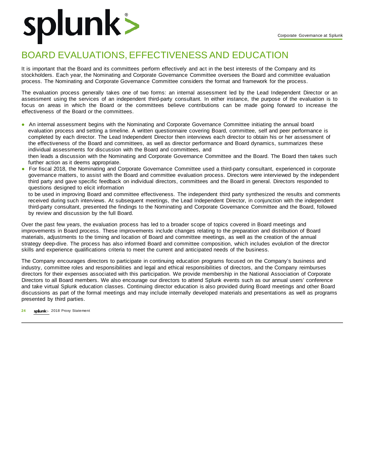## splunk>

## BOARD EVALUATIONS, EFFECTIVENESS AND EDUCATION

It is important that the Board and its committees perform effectively and act in the best interests of the Company and its stockholders. Each year, the Nominating and Corporate Governance Committee oversees the Board and committee evaluation process. The Nominating and Corporate Governance Committee considers the format and framework for the process.

The evaluation process generally takes one of two forms: an internal assessment led by the Lead Independent Director or an assessment using the services of an independent third-party consultant. In either instance, the purpose of the evaluation is to focus on areas in which the Board or the committees believe contributions can be made going forward to increase the effectiveness of the Board or the committees.

- An internal assessment begins with the Nominating and Corporate Governance Committee initiating the annual board evaluation process and setting a timeline. A written questionnaire covering Board, committee, self and peer performance is completed by each director. The Lead Independent Director then interviews each director to obtain his or her assessment of the effectiveness of the Board and committees, as well as director performance and Board dynamics, summarizes these individual assessments for discussion with the Board and committees, and then leads a discussion with the Nominating and Corporate Governance Committee and the Board. The Board then takes such further action as it deems appropriate.
- For fiscal 2018, the Nominating and Corporate Governance Committee used a third-party consultant, experienced in corporate governance matters, to assist with the Board and committee evaluation process. Directors were interviewed by the independent third party and gave specific feedback on individual directors, committees and the Board in general. Directors responded to questions designed to elicit information

to be used in improving Board and committee effectiveness. The independent third party synthesized the results and comments received during such interviews. At subsequent meetings, the Lead Independent Director, in conjunction with the independent third-party consultant, presented the findings to the Nominating and Corporate Governance Committee and the Board, followed by review and discussion by the full Board.

Over the past few years, the evaluation process has led to a broader scope of topics covered in Board meetings and improvements in Board process. These improvements include changes relating to the preparation and distribution of Board materials, adjustments to the timing and location of Board and committee meetings, as well as the creation of the annual strategy deep-dive. The process has also informed Board and committee composition, which includes evolution of the director skills and experience qualifications criteria to meet the current and anticipated needs of the business.

The Company encourages directors to participate in continuing education programs focused on the Company's business and industry, committee roles and responsibilities and legal and ethical responsibilities of directors, and the Company reimburses directors for their expenses associated with this participation. We provide membership in the National Association of Corporate Directors to all Board members. We also encourage our directors to attend Splunk events such as our annual users' conference and take virtual Splunk education classes. Continuing director education is also provided during Board meetings and other Board discussions as part of the formal meetings and may include internally developed materials and presentations as well as programs presented by third parties.

24 **splunk**> 2018 Proxy Statement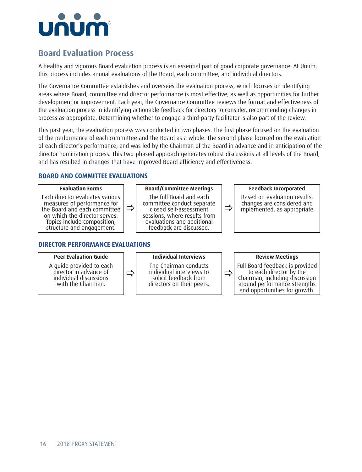

## **Board Evaluation Process**

A healthy and vigorous Board evaluation process is an essential part of good corporate governance. At Unum, this process includes annual evaluations of the Board, each committee, and individual directors.

The Governance Committee establishes and oversees the evaluation process, which focuses on identifying areas where Board, committee and director performance is most effective, as well as opportunities for further development or improvement. Each year, the Governance Committee reviews the format and effectiveness of the evaluation process in identifying actionable feedback for directors to consider, recommending changes in process as appropriate. Determining whether to engage a third-party facilitator is also part of the review.

This past year, the evaluation process was conducted in two phases. The first phase focused on the evaluation of the performance of each committee and the Board as a whole. The second phase focused on the evaluation of each director's performance, and was led by the Chairman of the Board in advance and in anticipation of the director nomination process. This two-phased approach generates robust discussions at all levels of the Board, and has resulted in changes that have improved Board efficiency and effectiveness.

#### **BOARD AND COMMITTEE EVALUATIONS**

**Evaluation Forms**  $\Rightarrow$ **Board/Committee Meetings** ð **Feedback Incorporated** Each director evaluates various measures of performance for the Board and each committee on which the director serves. Topics include composition, structure and engagement. The full Board and each committee conduct separate closed self-assessment sessions, where results from evaluations and additional feedback are discussed. Based on evaluation results, changes are considered and implemented, as appropriate. **DIRECTOR PERFORMANCE EVALUATIONS**

#### **Peer Evaluation Guide**

A guide provided to each director in advance of individual discussions with the Chairman.

ð

**Individual Interviews**

The Chairman conducts individual interviews to solicit feedback from directors on their peers.

ð

**Review Meetings**

Full Board feedback is provided to each director by the Chairman, including discussion around performance strengths and opportunities for growth.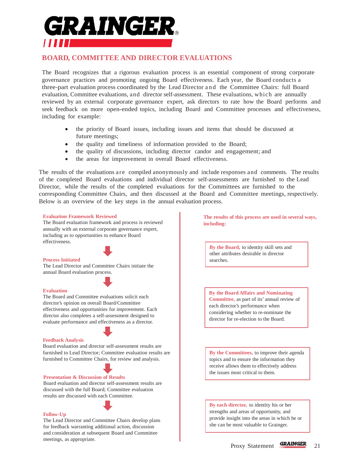

#### **BOARD, COMMITTEE AND DIRECTOR EVALUATIONS**

The Board recognizes that a rigorous evaluation process is an essential component of strong corporate governance practices and promoting ongoing Board effectiveness. Each year, the Board conducts a three-part evaluation process coordinated by the Lead Director and the Committee Chairs: full Board evaluation, Committee evaluations, and director self-assessment. These evaluations, which are annually reviewed by an external corporate governance expert, ask directors to rate how the Board performs and seek feedback on more open-ended topics, including Board and Committee processes and effectiveness, including for example:

- the priority of Board issues, including issues and items that should be discussed at future meetings;
- the quality and timeliness of information provided to the Board;
- the quality of discussions, including director candor and engagement; and
- the areas for improvement in overall Board effectiveness.

The results of the evaluations are compiled anonymously and include responses and comments. The results of the completed Board evaluations and individual director self-assessments are furnished to the Lead Director, while the results of the completed evaluations for the Committees are furnished to the corresponding Committee Chairs, and then discussed at the Board and Committee meetings, respectively. Below is an overview of the key steps in the annual evaluation process.

#### **Evaluation Framework Reviewed**

The Board evaluation framework and process is reviewed annually with an external corporate governance expert, including as to opportunities to enhance Board effectiveness.



#### **Process Initiated**

The Lead Director and Committee Chairs initiate the annual Board evaluation process.

#### **Evaluation**

The Board and Committee evaluations solicit each director's opinion on overall Board/Committee effectiveness and opportunities for improvement. Each director also completes a self-assessment designed to evaluate performance and effectiveness as a director.

#### **Feedback Analysis**

Board evaluation and director self-assessment results are furnished to Lead Director; Committee evaluation results are furnished to Committee Chairs, for review and analysis.

#### **Presentation & Discussion of Results**

Board evaluation and director self-assessment results are discussed with the full Board; Committee evaluation results are discussed with each Committee.



#### **Follow-Up**

The Lead Director and Committee Chairs develop plans for feedback warranting additional action, discussion and consideration at subsequent Board and Committee meetings, as appropriate.

**The results of this process are used in several ways, including:**

**By the Board,** to identity skill sets and other attributes desirable in director searches.

**By the Board Affairs and Nominating Committee,** as part of its' annual review of each director's performance when considering whether to re-nominate the director for re-election to the Board.

**By the Committees,** to improve their agenda topics and to ensure the information they receive allows them to effectively address the issues most critical to them.

**By each director,** to identity his or her strengths and areas of opportunity, and provide insight into the areas in which he or she can be most valuable to Grainger.